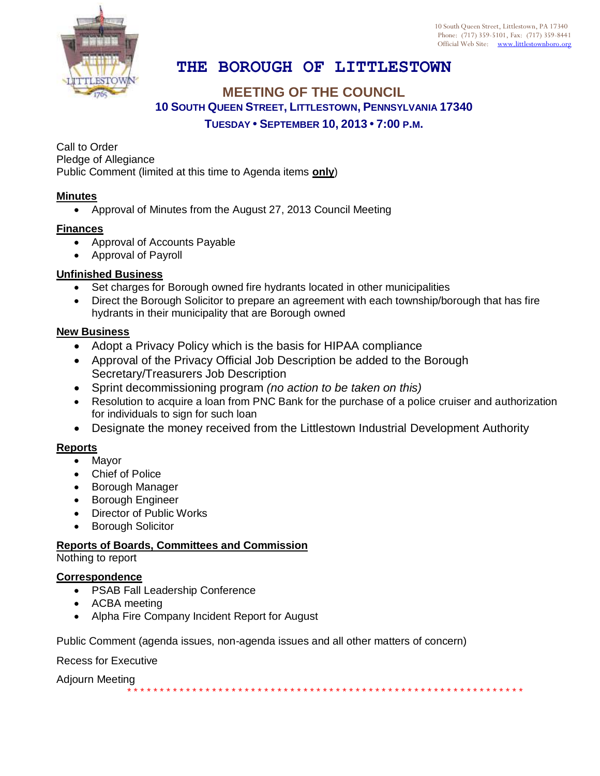10 South Queen Street, Littlestown, PA 17340 Phone: (717) 359-5101, Fax: (717) 359-8441 Official Web Site: [www.littlestownboro.org](http://www.littlestown.us/)



# **THE BOROUGH OF LITTLESTOWN**

### **MEETING OF THE COUNCIL 10 SOUTH QUEEN STREET, LITTLESTOWN, PENNSYLVANIA 17340 TUESDAY • SEPTEMBER 10, 2013 • 7:00 P.M.**

Call to Order Pledge of Allegiance Public Comment (limited at this time to Agenda items **only**)

#### **Minutes**

Approval of Minutes from the August 27, 2013 Council Meeting

#### **Finances**

- Approval of Accounts Payable
- Approval of Payroll

#### **Unfinished Business**

- Set charges for Borough owned fire hydrants located in other municipalities
- Direct the Borough Solicitor to prepare an agreement with each township/borough that has fire hydrants in their municipality that are Borough owned

#### **New Business**

- Adopt a Privacy Policy which is the basis for HIPAA compliance
- Approval of the Privacy Official Job Description be added to the Borough Secretary/Treasurers Job Description
- Sprint decommissioning program *(no action to be taken on this)*
- Resolution to acquire a loan from PNC Bank for the purchase of a police cruiser and authorization for individuals to sign for such loan

\* \* \* \* \* \* \* \* \* \* \* \* \* \* \* \* \* \* \* \* \* \* \* \* \* \* \* \* \* \* \* \* \* \* \* \* \* \* \* \* \* \* \* \* \* \* \* \* \* \* \* \* \* \* \* \* \* \* \* \* \*

Designate the money received from the Littlestown Industrial Development Authority

### **Reports**

- Mayor
- Chief of Police
- Borough Manager
- **•** Borough Engineer
- Director of Public Works
- Borough Solicitor

## **Reports of Boards, Committees and Commission**

Nothing to report

#### **Correspondence**

- PSAB Fall Leadership Conference
- ACBA meeting
- Alpha Fire Company Incident Report for August

Public Comment (agenda issues, non-agenda issues and all other matters of concern)

### Recess for Executive

Adjourn Meeting